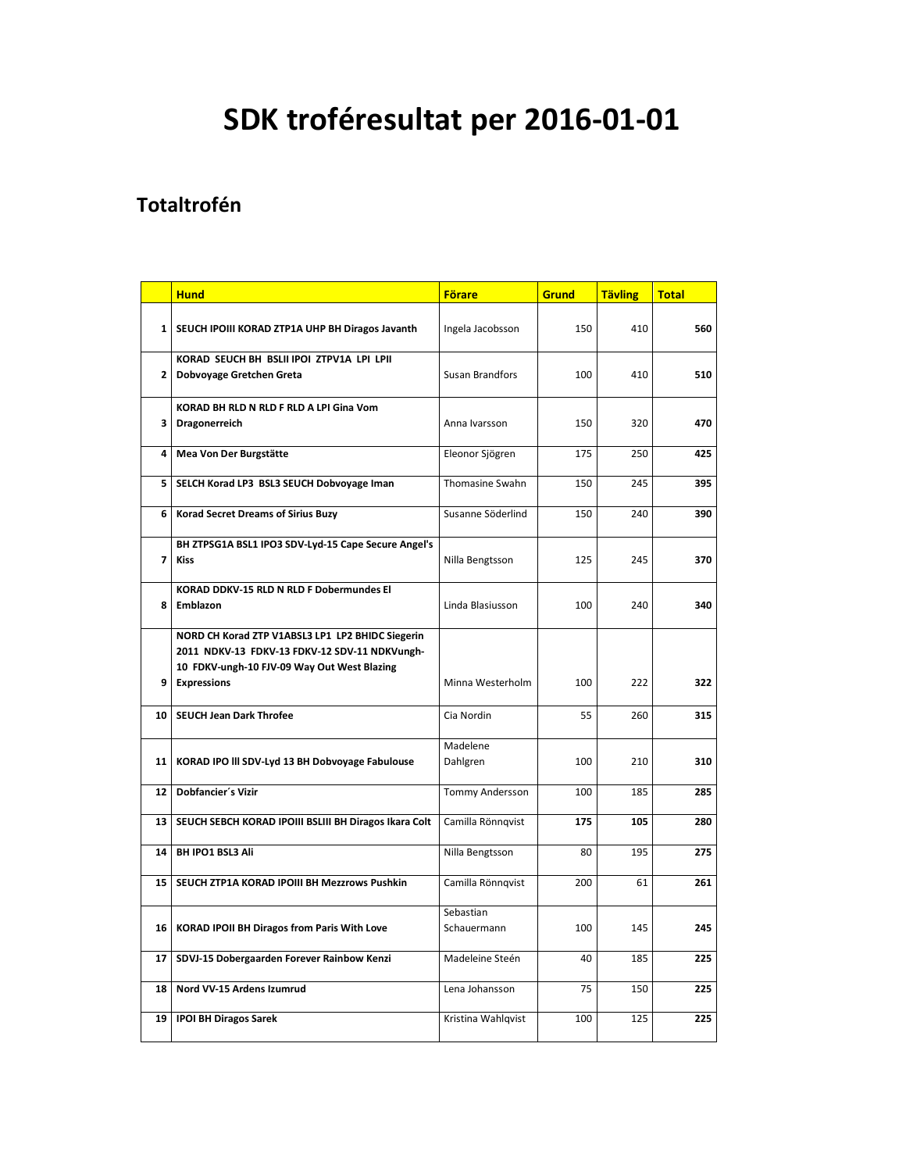# **SDK troféresultat per 2016-01-01**

#### **Totaltrofén**

|                | <b>Hund</b>                                                                                                                                      | <b>Förare</b>            | <b>Grund</b> | <b>Tävling</b> | <b>Total</b> |
|----------------|--------------------------------------------------------------------------------------------------------------------------------------------------|--------------------------|--------------|----------------|--------------|
| $\mathbf{1}$   | SEUCH IPOIII KORAD ZTP1A UHP BH Diragos Javanth                                                                                                  | Ingela Jacobsson         | 150          | 410            | 560          |
| $\overline{2}$ | KORAD SEUCH BH BSLII IPOI ZTPV1A LPI LPII<br>Dobvoyage Gretchen Greta                                                                            | Susan Brandfors          | 100          | 410            | 510          |
| 3              | KORAD BH RLD N RLD F RLD A LPI Gina Vom<br>Dragonerreich                                                                                         | Anna Ivarsson            | 150          | 320            | 470          |
| 4              | Mea Von Der Burgstätte                                                                                                                           | Eleonor Sjögren          | 175          | 250            | 425          |
| 5              | SELCH Korad LP3 BSL3 SEUCH Dobvoyage Iman                                                                                                        | Thomasine Swahn          | 150          | 245            | 395          |
| 6              | <b>Korad Secret Dreams of Sirius Buzy</b>                                                                                                        | Susanne Söderlind        | 150          | 240            | 390          |
| $\overline{7}$ | BH ZTPSG1A BSL1 IPO3 SDV-Lyd-15 Cape Secure Angel's<br><b>Kiss</b>                                                                               | Nilla Bengtsson          | 125          | 245            | 370          |
| 8              | <b>KORAD DDKV-15 RLD N RLD F Dobermundes El</b><br>Emblazon                                                                                      | Linda Blasiusson         | 100          | 240            | 340          |
|                | NORD CH Korad ZTP V1ABSL3 LP1 LP2 BHIDC Siegerin<br>2011 NDKV-13 FDKV-13 FDKV-12 SDV-11 NDKVungh-<br>10 FDKV-ungh-10 FJV-09 Way Out West Blazing |                          |              |                |              |
| 9              | <b>Expressions</b>                                                                                                                               | Minna Westerholm         | 100          | 222            | 322          |
| 10             | <b>SEUCH Jean Dark Throfee</b>                                                                                                                   | Cia Nordin               | 55           | 260            | 315          |
| 11             | KORAD IPO III SDV-Lyd 13 BH Dobvoyage Fabulouse                                                                                                  | Madelene<br>Dahlgren     | 100          | 210            | 310          |
| 12             | Dobfancier's Vizir                                                                                                                               | Tommy Andersson          | 100          | 185            | 285          |
| 13             | SEUCH SEBCH KORAD IPOIII BSLIII BH Diragos Ikara Colt                                                                                            | Camilla Rönnqvist        | 175          | 105            | 280          |
| 14             | <b>BH IPO1 BSL3 Ali</b>                                                                                                                          | Nilla Bengtsson          | 80           | 195            | 275          |
| 15             | SEUCH ZTP1A KORAD IPOIII BH Mezzrows Pushkin                                                                                                     | Camilla Rönnqvist        | 200          | 61             | 261          |
| 16             | KORAD IPOII BH Diragos from Paris With Love                                                                                                      | Sebastian<br>Schauermann | 100          | 145            | 245          |
| 17             | SDVJ-15 Dobergaarden Forever Rainbow Kenzi                                                                                                       | Madeleine Steén          | 40           | 185            | 225          |
| 18             | Nord VV-15 Ardens Izumrud                                                                                                                        | Lena Johansson           | 75           | 150            | 225          |
| 19             | <b>IPOI BH Diragos Sarek</b>                                                                                                                     | Kristina Wahlqvist       | 100          | 125            | 225          |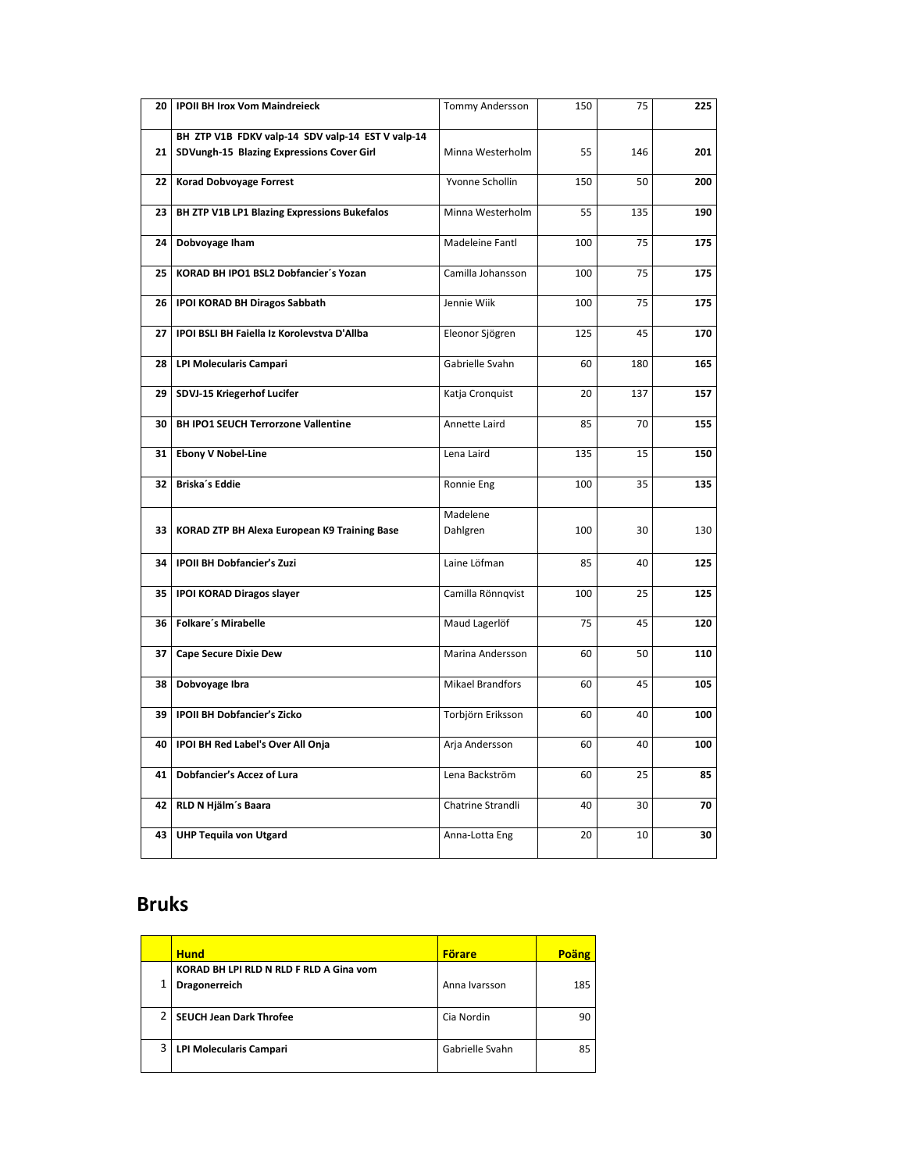| <b>20</b>       | <b>IPOII BH Irox Vom Maindreieck</b>              | Tommy Andersson         | 150 | 75  | 225 |
|-----------------|---------------------------------------------------|-------------------------|-----|-----|-----|
|                 | BH ZTP V1B FDKV valp-14 SDV valp-14 EST V valp-14 |                         |     |     |     |
| 21              | SDVungh-15 Blazing Expressions Cover Girl         | Minna Westerholm        | 55  | 146 | 201 |
| 22 <sub>1</sub> | Korad Dobvoyage Forrest                           | Yvonne Schollin         | 150 | 50  | 200 |
| 23              | BH ZTP V1B LP1 Blazing Expressions Bukefalos      | Minna Westerholm        | 55  | 135 | 190 |
| 24              | Dobvoyage Iham                                    | Madeleine Fantl         | 100 | 75  | 175 |
| 25              | KORAD BH IPO1 BSL2 Dobfancier's Yozan             | Camilla Johansson       | 100 | 75  | 175 |
| 26              | <b>IPOI KORAD BH Diragos Sabbath</b>              | Jennie Wiik             | 100 | 75  | 175 |
| 27              | IPOI BSLI BH Faiella Iz Korolevstva D'Allba       | Eleonor Sjögren         | 125 | 45  | 170 |
| 28              | <b>LPI Molecularis Campari</b>                    | Gabrielle Svahn         | 60  | 180 | 165 |
| 29              | SDVJ-15 Kriegerhof Lucifer                        | Katja Cronquist         | 20  | 137 | 157 |
| 30              | <b>BH IPO1 SEUCH Terrorzone Vallentine</b>        | Annette Laird           | 85  | 70  | 155 |
| 31              | <b>Ebony V Nobel-Line</b>                         | Lena Laird              | 135 | 15  | 150 |
| 32              | Briska's Eddie                                    | Ronnie Eng              | 100 | 35  | 135 |
| 33              | KORAD ZTP BH Alexa European K9 Training Base      | Madelene<br>Dahlgren    | 100 | 30  | 130 |
| 34              | <b>IPOII BH Dobfancier's Zuzi</b>                 | Laine Löfman            | 85  | 40  | 125 |
| 35              | <b>IPOI KORAD Diragos slayer</b>                  | Camilla Rönnqvist       | 100 | 25  | 125 |
| 36              | <b>Folkare's Mirabelle</b>                        | Maud Lagerlöf           | 75  | 45  | 120 |
| 37              | <b>Cape Secure Dixie Dew</b>                      | Marina Andersson        | 60  | 50  | 110 |
| 38              | Dobvoyage Ibra                                    | <b>Mikael Brandfors</b> | 60  | 45  | 105 |
| 39              | <b>IPOII BH Dobfancier's Zicko</b>                | Torbjörn Eriksson       | 60  | 40  | 100 |
| 40              | IPOI BH Red Label's Over All Onja                 | Arja Andersson          | 60  | 40  | 100 |
| 41              | Dobfancier's Accez of Lura                        | Lena Backström          | 60  | 25  | 85  |
| 42              | RLD N Hjälm's Baara                               | Chatrine Strandli       | 40  | 30  | 70  |
| 43              | <b>UHP Tequila von Utgard</b>                     | Anna-Lotta Eng          | 20  | 10  | 30  |

#### **Bruks**

|   | <b>Hund</b>                                    | <b>Förare</b>   | Poäng |
|---|------------------------------------------------|-----------------|-------|
|   | <b>KORAD BH LPI RLD N RLD F RLD A Gina vom</b> |                 |       |
|   | Dragonerreich                                  | Anna Ivarsson   | 185   |
|   |                                                |                 |       |
|   | SEUCH Jean Dark Throfee                        | Cia Nordin      | 90    |
|   |                                                |                 |       |
| 3 | <b>LPI Molecularis Campari</b>                 | Gabrielle Svahn | 85    |
|   |                                                |                 |       |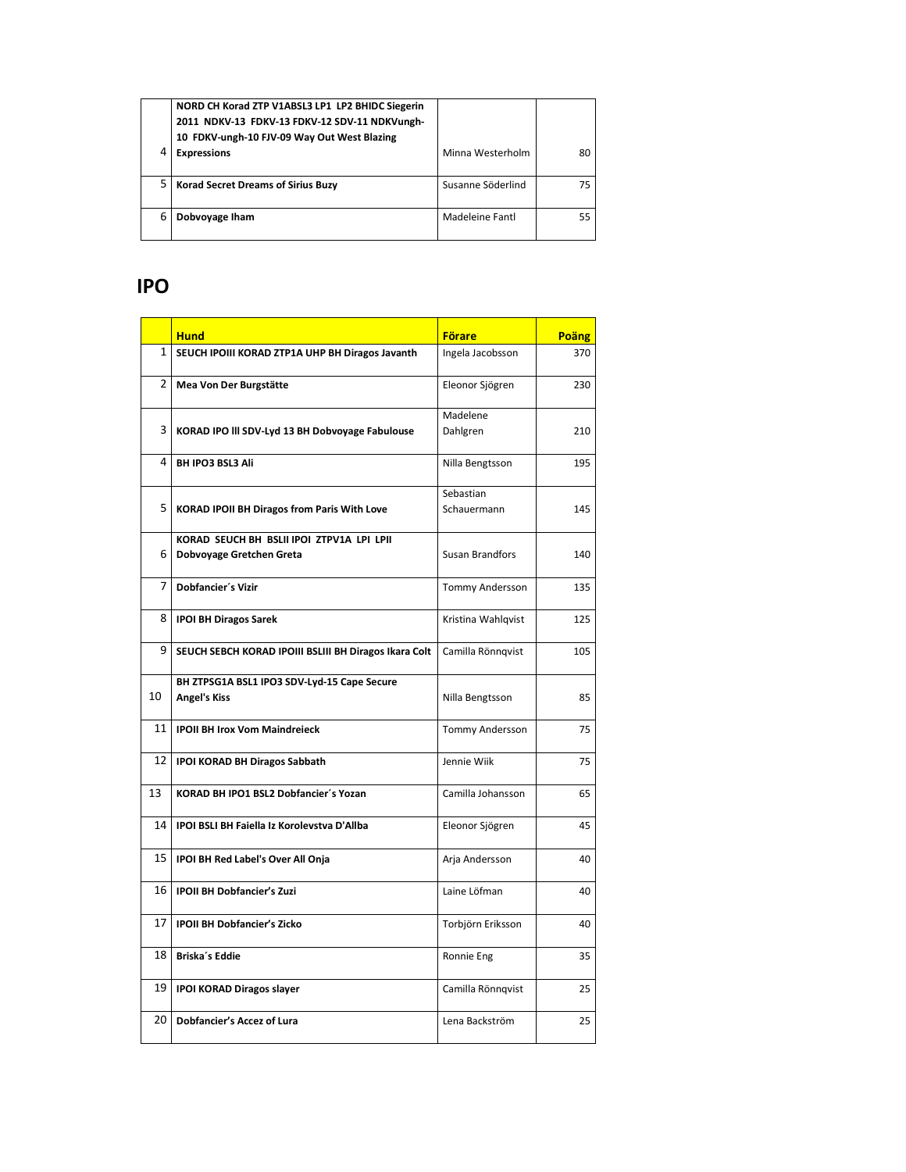|   | NORD CH Korad ZTP V1ABSL3 LP1 LP2 BHIDC Siegerin<br>2011 NDKV-13 FDKV-13 FDKV-12 SDV-11 NDKVungh-<br>10 FDKV-ungh-10 FJV-09 Way Out West Blazing |                   |    |
|---|--------------------------------------------------------------------------------------------------------------------------------------------------|-------------------|----|
|   | <b>Expressions</b>                                                                                                                               | Minna Westerholm  | 80 |
|   | <b>Korad Secret Dreams of Sirius Buzy</b>                                                                                                        | Susanne Söderlind | 75 |
| 6 | Dobvoyage Iham                                                                                                                                   | Madeleine Fantl   | 55 |

### **IPO**

|                | <b>Hund</b>                                                           | <b>Förare</b>            | Poäng |
|----------------|-----------------------------------------------------------------------|--------------------------|-------|
| $\mathbf{1}$   | SEUCH IPOIII KORAD ZTP1A UHP BH Diragos Javanth                       | Ingela Jacobsson         | 370   |
| $\overline{2}$ | Mea Von Der Burgstätte                                                | Eleonor Sjögren          | 230   |
| 3              | KORAD IPO III SDV-Lyd 13 BH Dobvoyage Fabulouse                       | Madelene<br>Dahlgren     | 210   |
| 4              | <b>BH IPO3 BSL3 Ali</b>                                               | Nilla Bengtsson          | 195   |
| 5              | KORAD IPOII BH Diragos from Paris With Love                           | Sebastian<br>Schauermann | 145   |
| 6              | KORAD SEUCH BH BSLII IPOI ZTPV1A LPI LPII<br>Dobvoyage Gretchen Greta | Susan Brandfors          | 140   |
| 7              | Dobfancier's Vizir                                                    | Tommy Andersson          | 135   |
| 8              | <b>IPOI BH Diragos Sarek</b>                                          | Kristina Wahlqvist       | 125   |
| 9              | SEUCH SEBCH KORAD IPOIII BSLIII BH Diragos Ikara Colt                 | Camilla Rönnqvist        | 105   |
| 10             | BH ZTPSG1A BSL1 IPO3 SDV-Lyd-15 Cape Secure<br><b>Angel's Kiss</b>    | Nilla Bengtsson          | 85    |
| 11             | <b>IPOII BH Irox Vom Maindreieck</b>                                  | Tommy Andersson          | 75    |
| 12             | IPOI KORAD BH Diragos Sabbath                                         | Jennie Wiik              | 75    |
| 13             | KORAD BH IPO1 BSL2 Dobfancier's Yozan                                 | Camilla Johansson        | 65    |
| 14             | IPOI BSLI BH Faiella Iz Korolevstva D'Allba                           | Eleonor Sjögren          | 45    |
| 15             | IPOI BH Red Label's Over All Onja                                     | Arja Andersson           | 40    |
| 16             | <b>IPOII BH Dobfancier's Zuzi</b>                                     | Laine Löfman             | 40    |
| 17             | <b>IPOII BH Dobfancier's Zicko</b>                                    | Torbjörn Eriksson        | 40    |
| 18             | Briska's Eddie                                                        | Ronnie Eng               | 35    |
| 19             | <b>IPOI KORAD Diragos slayer</b>                                      | Camilla Rönnqvist        | 25    |
| 20             | <b>Dobfancier's Accez of Lura</b>                                     | Lena Backström           | 25    |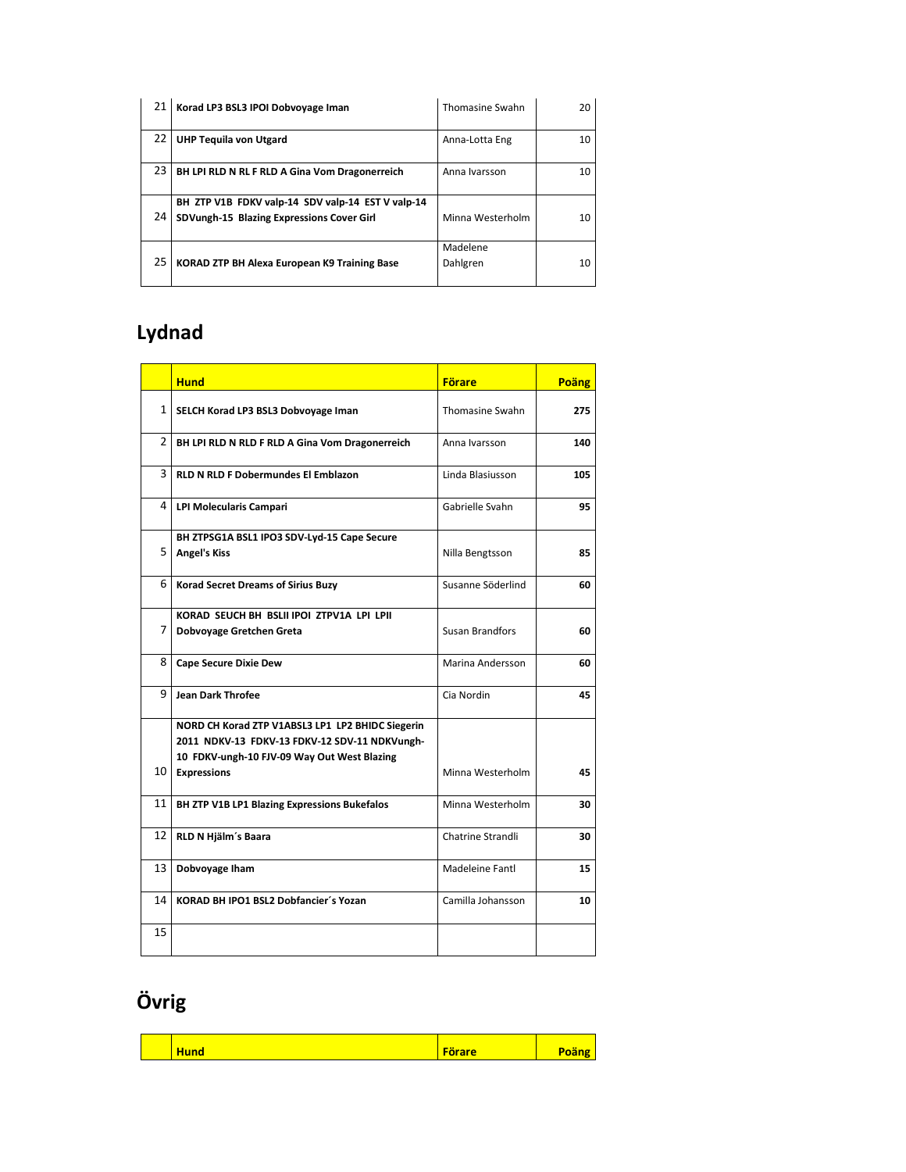|    | Korad LP3 BSL3 IPOI Dobvoyage Iman                                                             | <b>Thomasine Swahn</b> | 20 |
|----|------------------------------------------------------------------------------------------------|------------------------|----|
| 22 | <b>UHP Tequila von Utgard</b>                                                                  | Anna-Lotta Eng         | 10 |
| 23 | BH LPI RLD N RL F RLD A Gina Vom Dragonerreich                                                 | Anna Ivarsson          | 10 |
| 24 | BH ZTP V1B FDKV valp-14 SDV valp-14 EST V valp-14<br>SDVungh-15 Blazing Expressions Cover Girl | Minna Westerholm       | 10 |
| 25 | KORAD ZTP BH Alexa European K9 Training Base                                                   | Madelene<br>Dahlgren   | 10 |

## **Lydnad**

|              | <b>Hund</b>                                                                                                                                                            | <b>Förare</b>          | Poäng |
|--------------|------------------------------------------------------------------------------------------------------------------------------------------------------------------------|------------------------|-------|
| $\mathbf{1}$ | SELCH Korad LP3 BSL3 Dobvoyage Iman                                                                                                                                    | <b>Thomasine Swahn</b> | 275   |
| 2            | BH LPI RLD N RLD F RLD A Gina Vom Dragonerreich                                                                                                                        | Anna Ivarsson          | 140   |
| 3            | <b>RLD N RLD F Dobermundes El Emblazon</b>                                                                                                                             | Linda Blasiusson       | 105   |
| 4            | <b>LPI Molecularis Campari</b>                                                                                                                                         | Gabrielle Svahn        | 95    |
| 5            | BH ZTPSG1A BSL1 IPO3 SDV-Lyd-15 Cape Secure<br><b>Angel's Kiss</b>                                                                                                     | Nilla Bengtsson        | 85    |
| 6            | <b>Korad Secret Dreams of Sirius Buzy</b>                                                                                                                              | Susanne Söderlind      | 60    |
| 7            | KORAD SEUCH BH BSLII IPOI ZTPV1A LPI LPII<br>Dobvoyage Gretchen Greta                                                                                                  | <b>Susan Brandfors</b> | 60    |
| 8            | <b>Cape Secure Dixie Dew</b>                                                                                                                                           | Marina Andersson       | 60    |
| 9            | <b>Jean Dark Throfee</b>                                                                                                                                               | Cia Nordin             | 45    |
| 10           | NORD CH Korad ZTP V1ABSL3 LP1 LP2 BHIDC Siegerin<br>2011 NDKV-13 FDKV-13 FDKV-12 SDV-11 NDKVungh-<br>10 FDKV-ungh-10 FJV-09 Way Out West Blazing<br><b>Expressions</b> | Minna Westerholm       | 45    |
| 11           | BH ZTP V1B LP1 Blazing Expressions Bukefalos                                                                                                                           | Minna Westerholm       | 30    |
| 12           | RLD N Hjälm's Baara                                                                                                                                                    | Chatrine Strandli      | 30    |
| 13           | Dobvoyage Iham                                                                                                                                                         | Madeleine Fantl        | 15    |
| 14           | KORAD BH IPO1 BSL2 Dobfancier's Yozan                                                                                                                                  | Camilla Johansson      | 10    |
| 15           |                                                                                                                                                                        |                        |       |

# **Övrig**

| <b>Förare</b><br><b>The Common Street, Square</b><br><b>Hund</b><br>wa. |
|-------------------------------------------------------------------------|
|-------------------------------------------------------------------------|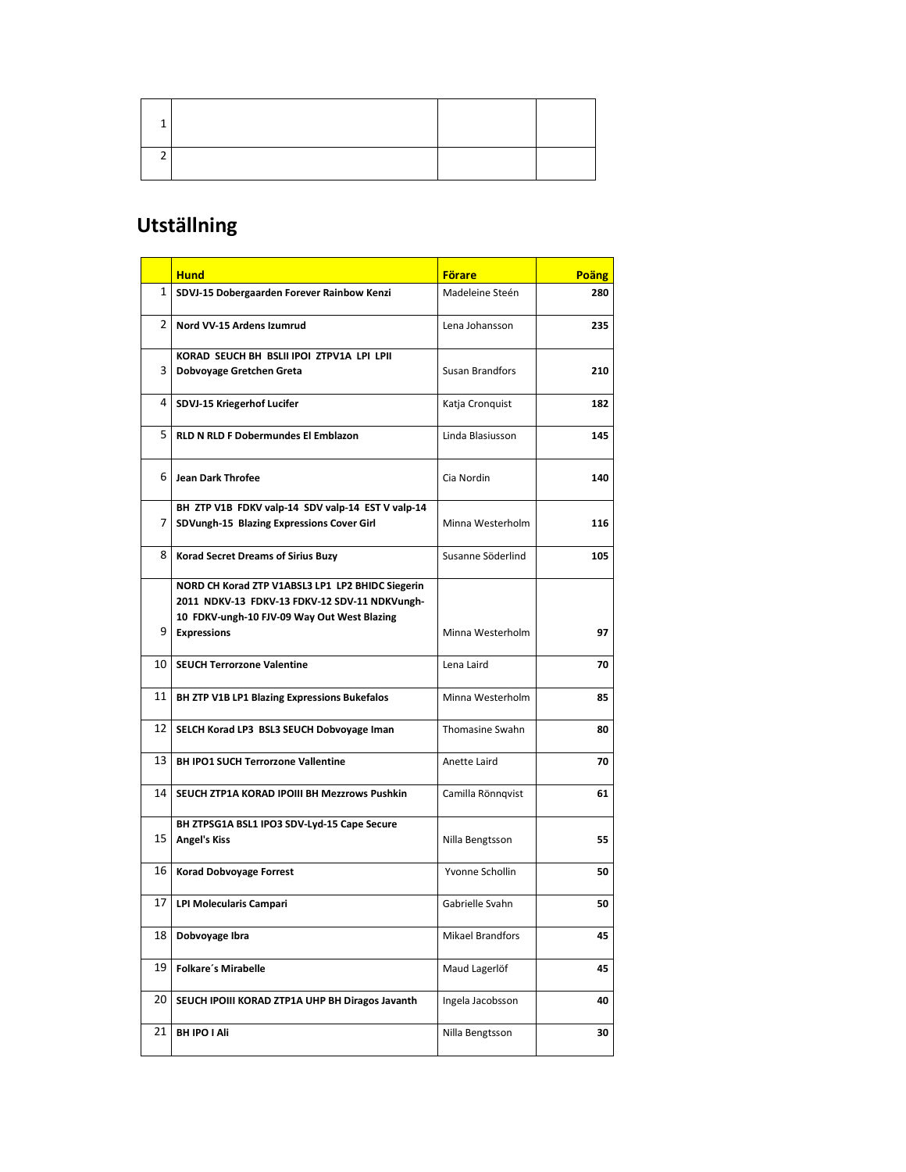#### **Utställning**

|                | <b>Hund</b>                                                                                                                                                            | <b>Förare</b>           | Poäng |
|----------------|------------------------------------------------------------------------------------------------------------------------------------------------------------------------|-------------------------|-------|
| 1 <sub>1</sub> | SDVJ-15 Dobergaarden Forever Rainbow Kenzi                                                                                                                             | Madeleine Steén         | 280   |
| $\mathbf{2}$   | Nord VV-15 Ardens Izumrud                                                                                                                                              | Lena Johansson          | 235   |
| 3              | KORAD SEUCH BH BSLII IPOI ZTPV1A LPI LPII<br>Dobvoyage Gretchen Greta                                                                                                  | <b>Susan Brandfors</b>  | 210   |
| 4              | SDVJ-15 Kriegerhof Lucifer                                                                                                                                             | Katja Cronquist         | 182   |
| 5              | <b>RLD N RLD F Dobermundes El Emblazon</b>                                                                                                                             | Linda Blasiusson        | 145   |
| 6              | <b>Jean Dark Throfee</b>                                                                                                                                               | Cia Nordin              | 140   |
| $\overline{7}$ | BH ZTP V1B FDKV valp-14 SDV valp-14 EST V valp-14<br>SDVungh-15 Blazing Expressions Cover Girl                                                                         | Minna Westerholm        | 116   |
| 81             | <b>Korad Secret Dreams of Sirius Buzy</b>                                                                                                                              | Susanne Söderlind       | 105   |
| 9              | NORD CH Korad ZTP V1ABSL3 LP1 LP2 BHIDC Siegerin<br>2011 NDKV-13 FDKV-13 FDKV-12 SDV-11 NDKVungh-<br>10 FDKV-ungh-10 FJV-09 Way Out West Blazing<br><b>Expressions</b> | Minna Westerholm        | 97    |
| 10 I           | <b>SEUCH Terrorzone Valentine</b>                                                                                                                                      | Lena Laird              | 70    |
| 11             | BH ZTP V1B LP1 Blazing Expressions Bukefalos                                                                                                                           | Minna Westerholm        | 85    |
| 12 I           | SELCH Korad LP3 BSL3 SEUCH Dobvoyage Iman                                                                                                                              | <b>Thomasine Swahn</b>  | 80    |
| 13             | <b>BH IPO1 SUCH Terrorzone Vallentine</b>                                                                                                                              | Anette Laird            | 70    |
| 14 I           | SEUCH ZTP1A KORAD IPOIII BH Mezzrows Pushkin                                                                                                                           | Camilla Rönngvist       | 61    |
| 15             | BH ZTPSG1A BSL1 IPO3 SDV-Lyd-15 Cape Secure<br><b>Angel's Kiss</b>                                                                                                     | Nilla Bengtsson         | 55    |
| 16             | <b>Korad Dobvoyage Forrest</b>                                                                                                                                         | Yvonne Schollin         | 50    |
| 17             | <b>LPI Molecularis Campari</b>                                                                                                                                         | Gabrielle Svahn         | 50    |
| 18             | Dobvoyage Ibra                                                                                                                                                         | <b>Mikael Brandfors</b> | 45    |
| 19             | <b>Folkare's Mirabelle</b>                                                                                                                                             | Maud Lagerlöf           | 45    |
| 20             | SEUCH IPOIII KORAD ZTP1A UHP BH Diragos Javanth                                                                                                                        | Ingela Jacobsson        | 40    |
| 21             | BH IPO I Ali                                                                                                                                                           | Nilla Bengtsson         | 30    |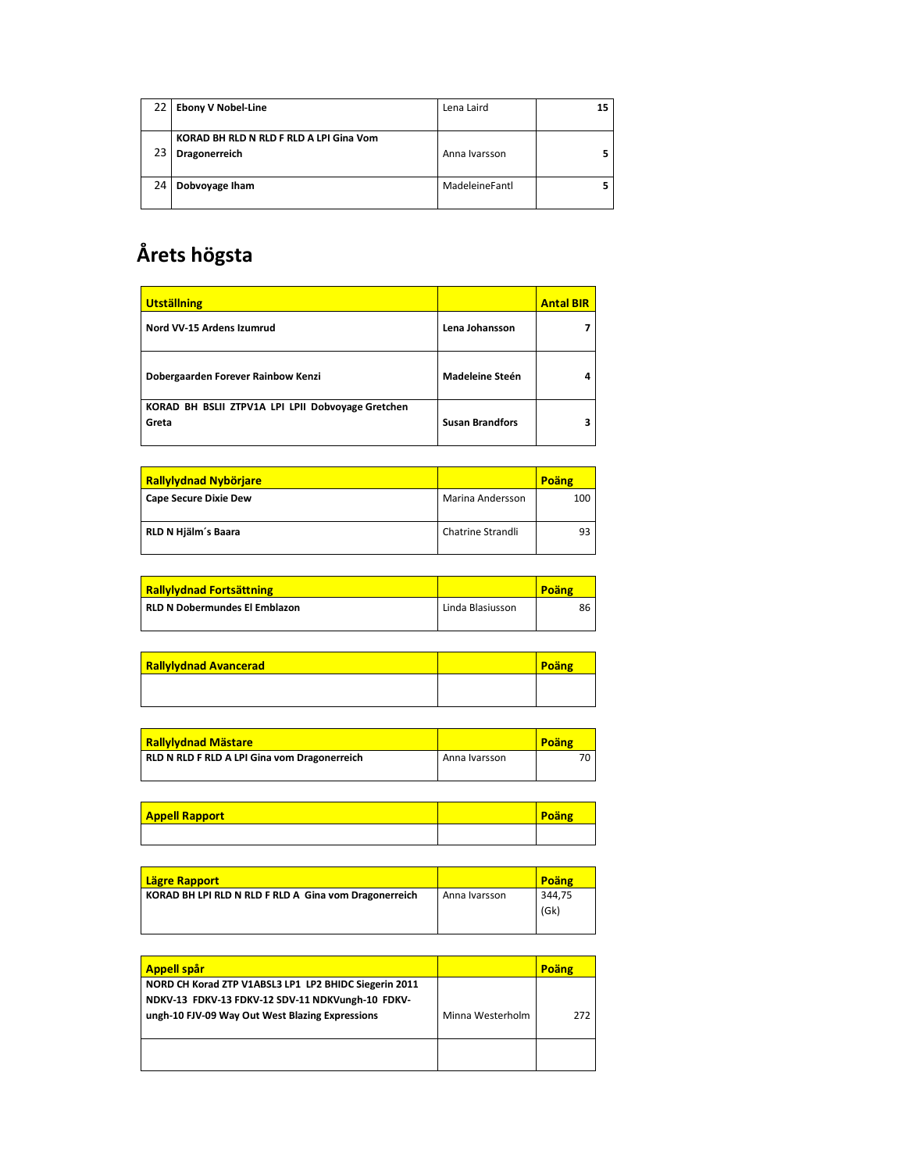| 22 | <b>Ebony V Nobel-Line</b>                                | Lena Laird     | 15 |
|----|----------------------------------------------------------|----------------|----|
|    | KORAD BH RLD N RLD F RLD A LPI Gina Vom<br>Dragonerreich | Anna Ivarsson  |    |
|    | Dobvoyage Iham                                           | MadeleineFantl |    |

## **Årets högsta**

| <b>Utställning</b>                                         |                        | <b>Antal BIR</b> |
|------------------------------------------------------------|------------------------|------------------|
| Nord VV-15 Ardens Izumrud                                  | Lena Johansson         |                  |
| Dobergaarden Forever Rainbow Kenzi                         | <b>Madeleine Steén</b> |                  |
| KORAD BH BSLII ZTPV1A LPI LPII Dobvoyage Gretchen<br>Greta | <b>Susan Brandfors</b> |                  |

| <b>Rallylydnad Nybörjare</b> |                   | Poäng |
|------------------------------|-------------------|-------|
| Cape Secure Dixie Dew        | Marina Andersson  | 100   |
| RLD N Hjälm's Baara          | Chatrine Strandli | qз    |

| <b>Rallylydnad Fortsättning</b> |                  | Poäng |
|---------------------------------|------------------|-------|
| RLD N Dobermundes El Emblazon   | Linda Blasiusson | 86    |

| <b>Rallylydnad Avancerad</b> | Poäng |
|------------------------------|-------|
|                              |       |

| <b>Rallylydnad Mästare</b>                   |               | Poäng |
|----------------------------------------------|---------------|-------|
| RLD N RLD F RLD A LPI Gina vom Dragonerreich | Anna Ivarsson |       |

| <b>Appell Rapport</b> | Poäng |
|-----------------------|-------|
|                       |       |

| Lägre Rapport                                         |               | Poäng  |
|-------------------------------------------------------|---------------|--------|
| KORAD BH LPI RLD N RLD F RLD A Gina vom Dragonerreich | Anna Ivarsson | 344.75 |
|                                                       |               | (Gk)   |
|                                                       |               |        |

| <b>Appell spår</b>                                                                                                                                           |                  | Poäng |
|--------------------------------------------------------------------------------------------------------------------------------------------------------------|------------------|-------|
| NORD CH Korad ZTP V1ABSL3 LP1 LP2 BHIDC Siegerin 2011<br>NDKV-13 FDKV-13 FDKV-12 SDV-11 NDKVungh-10 FDKV-<br>ungh-10 FJV-09 Way Out West Blazing Expressions | Minna Westerholm | 272   |
|                                                                                                                                                              |                  |       |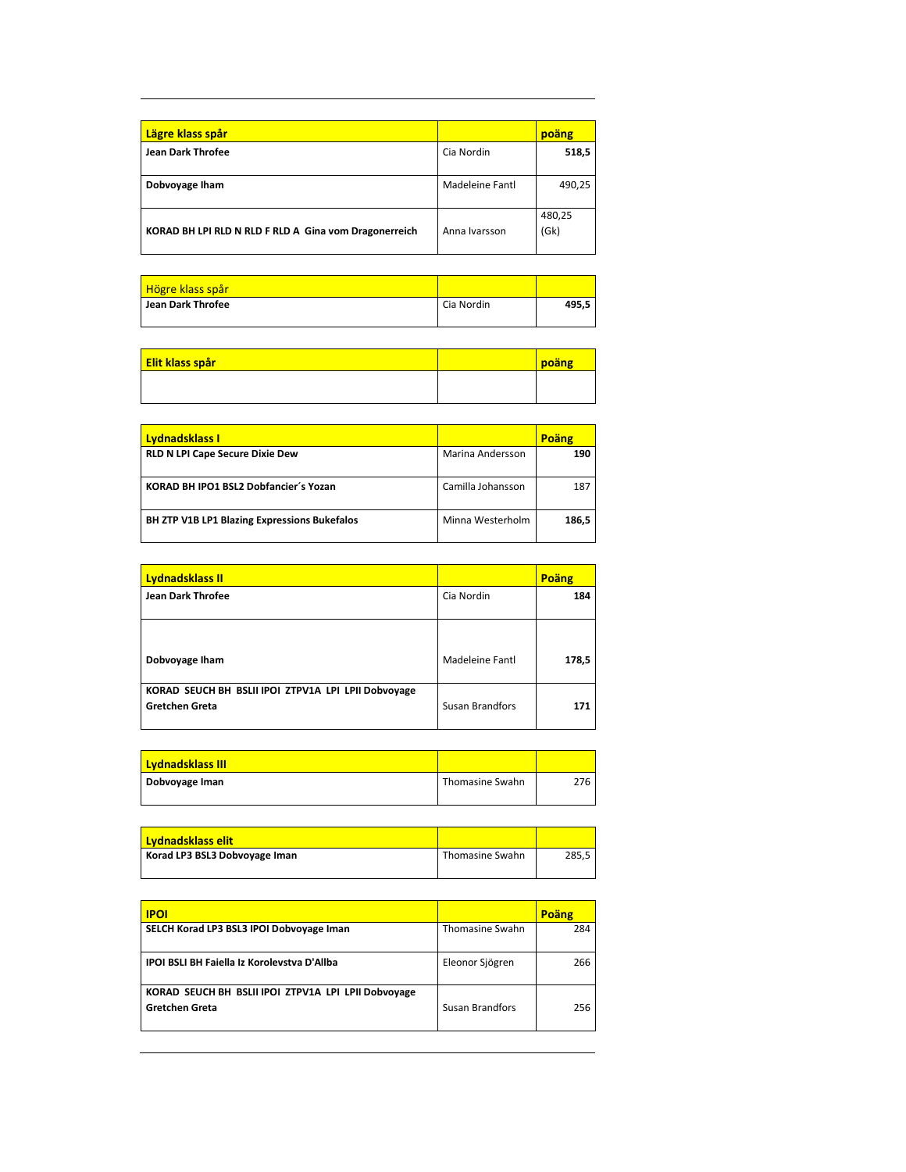| Lägre klass spår                                      |                 | poäng          |
|-------------------------------------------------------|-----------------|----------------|
| <b>Jean Dark Throfee</b>                              | Cia Nordin      | 518,5          |
| Dobvoyage Iham                                        | Madeleine Fantl | 490,25         |
| KORAD BH LPI RLD N RLD F RLD A Gina vom Dragonerreich | Anna Ivarsson   | 480,25<br>(Gk) |

| <u>Högre klass spår</u>  |            |       |
|--------------------------|------------|-------|
| <b>Jean Dark Throfee</b> | Cia Nordin | 495.5 |

| <b>Elit klass spår</b> | poäng |
|------------------------|-------|
|                        |       |
|                        |       |

| <b>Lydnadsklass I</b>                               |                   | Poäng |
|-----------------------------------------------------|-------------------|-------|
| <b>RLD N LPI Cape Secure Dixie Dew</b>              | Marina Andersson  | 190   |
| KORAD BH IPO1 BSL2 Dobfancier's Yozan               | Camilla Johansson | 187   |
| <b>BH ZTP V1B LP1 Blazing Expressions Bukefalos</b> | Minna Westerholm  | 186,5 |

| Lydnadsklass II                                                              |                        | Poäng |
|------------------------------------------------------------------------------|------------------------|-------|
| <b>Jean Dark Throfee</b>                                                     | Cia Nordin             | 184   |
|                                                                              |                        |       |
| Dobvoyage Iham                                                               | Madeleine Fantl        | 178,5 |
| KORAD SEUCH BH BSLII IPOI ZTPV1A LPI LPII Dobvoyage<br><b>Gretchen Greta</b> | <b>Susan Brandfors</b> | 171   |

| <b>Lydnadsklass III</b> |                 |     |
|-------------------------|-----------------|-----|
| Dobvoyage Iman          | Thomasine Swahn | 276 |
|                         |                 |     |

| <b>Lydnadsklass elit</b>      |                 |       |
|-------------------------------|-----------------|-------|
| Korad LP3 BSL3 Dobvoyage Iman | Thomasine Swahn | 285.5 |
|                               |                 |       |

| <b>IPOI</b>                                                                  |                        | Poäng |
|------------------------------------------------------------------------------|------------------------|-------|
| SELCH Korad LP3 BSL3 IPOI Dobvoyage Iman                                     | <b>Thomasine Swahn</b> | 284   |
| <b>IPOI BSLI BH Faiella Iz Korolevstva D'Allba</b>                           | Eleonor Sjögren        | 266   |
| KORAD SEUCH BH BSLII IPOI ZTPV1A LPI LPII Dobvoyage<br><b>Gretchen Greta</b> | Susan Brandfors        | 256   |